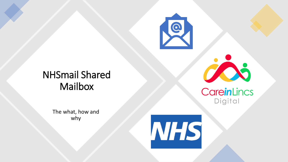

# NHSmail Shared **Mailbox**



#### CareinLincs Digital

The what, how and why

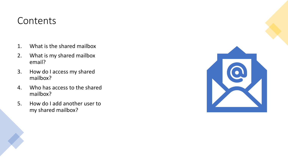#### **Contents**

- 1. What is the shared mailbox
- 2. What is my shared mailbox email?
- 3. How do I access my shared mailbox?
- 4. Who has access to the shared mailbox?
- 5. How do I add another user to my shared mailbox?

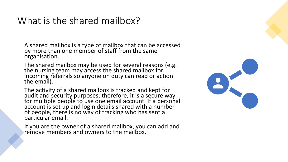#### What is the shared mailbox?

A shared mailbox is a type of mailbox that can be accessed by more than one member of staff from the same organisation.

The shared mailbox may be used for several reasons (e.g. the nursing team may access the shared mailbox for incoming referrals so anyone on duty can read or action the email).

The activity of a shared mailbox is tracked and kept for audit and security purposes; therefore, it is a secure way for multiple people to use one email account. If a personal account is set up and login details shared with a number of people, there is no way of tracking who has sent a particular email.

If you are the owner of a shared mailbox, you can add and remove members and owners to the mailbox.

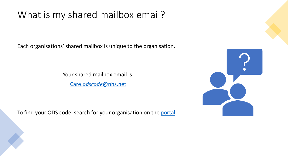### What is my shared mailbox email?

Each organisations' shared mailbox is unique to the organisation.

Your shared mailbox email is:

Care.*odscode*[@nhs.net](mailto:Care.odscode@nhs.net)

To find your ODS code, search for your organisation on the [portal](https://odsportal.hscic.gov.uk/Organisation/Search)

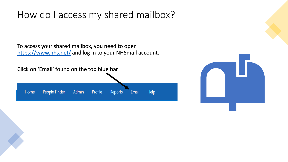#### How do I access my shared mailbox?

To access your shared mailbox, you need to open <https://www.nhs.net/> and log in to your NHSmail account.



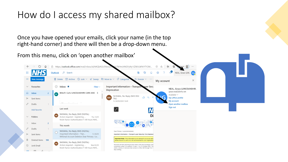### How do I access my shared mailbox?

Once you have opened your emails, click your name (in the top right-hand corner) and there will then be a drop-down menu.

From this menu, click on 'open another mailbox'

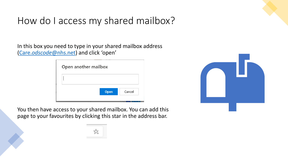# How do I access my shared mailbox?

In this box you need to type in your shared mailbox address (Care.*odscode*[@nhs.net](mailto:Care.odscode@nhs.net)) and click 'open'





You then have access to your shared mailbox. You can add this page to your favourites by clicking this star in the address bar.

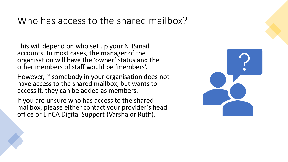### Who has access to the shared mailbox?

This will depend on who set up your NHSmail accounts. In most cases, the manager of the organisation will have the 'owner' status and the other members of staff would be 'members'.

However, if somebody in your organisation does not have access to the shared mailbox, but wants to access it, they can be added as members.

If you are unsure who has access to the shared mailbox, please either contact your provider's head office or LinCA Digital Support (Varsha or Ruth).

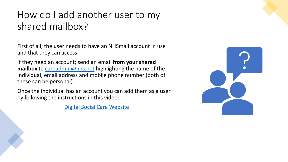## How do I add another user to my shared mailbox?

First of all, the user needs to have an NHSmail account in use and that they can access.

If they need an account; send an email **from your shared mailbox** to [careadmin@nhs.net](mailto:careadmin@nhs.net) highlighting the name of the individual, email address and mobile phone number (both of these can be personal).

Once the individual has an account you can add them as a user by following the instructions in this video:

[Digital Social Care Website](https://www.digitalsocialcare.co.uk/covid-19-guidance/covid-19-quick-access-to-nhsmail/how-to-add-users-to-your-shared-mailbox/)